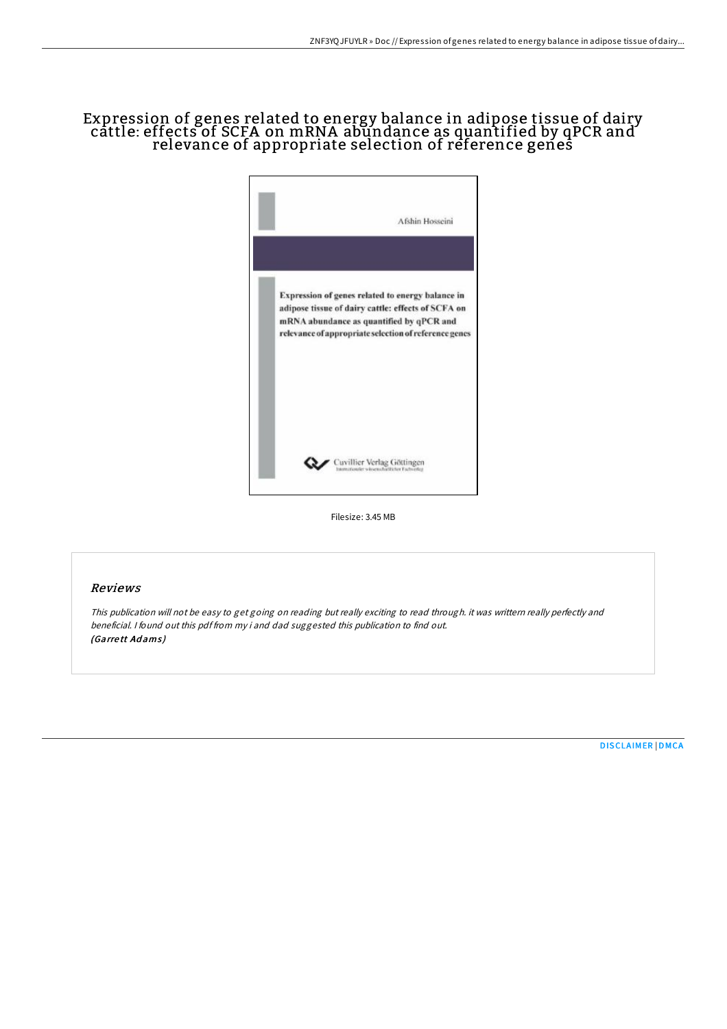## Expression of genes related to energy balance in adipose tissue of dairy <code>cattle</code>: <code>effects</code> of SCFA on mRNA abundance as quantified by <code>qPCR</code> and <code> </code> relevance of appropriate selection of reference genes



Filesize: 3.45 MB

## Reviews

This publication will not be easy to get going on reading but really exciting to read through. it was writtern really perfectly and beneficial. <sup>I</sup> found out this pdf from my i and dad suggested this publication to find out. (Garrett Adams)

[DISCLAIMER](http://almighty24.tech/disclaimer.html) | [DMCA](http://almighty24.tech/dmca.html)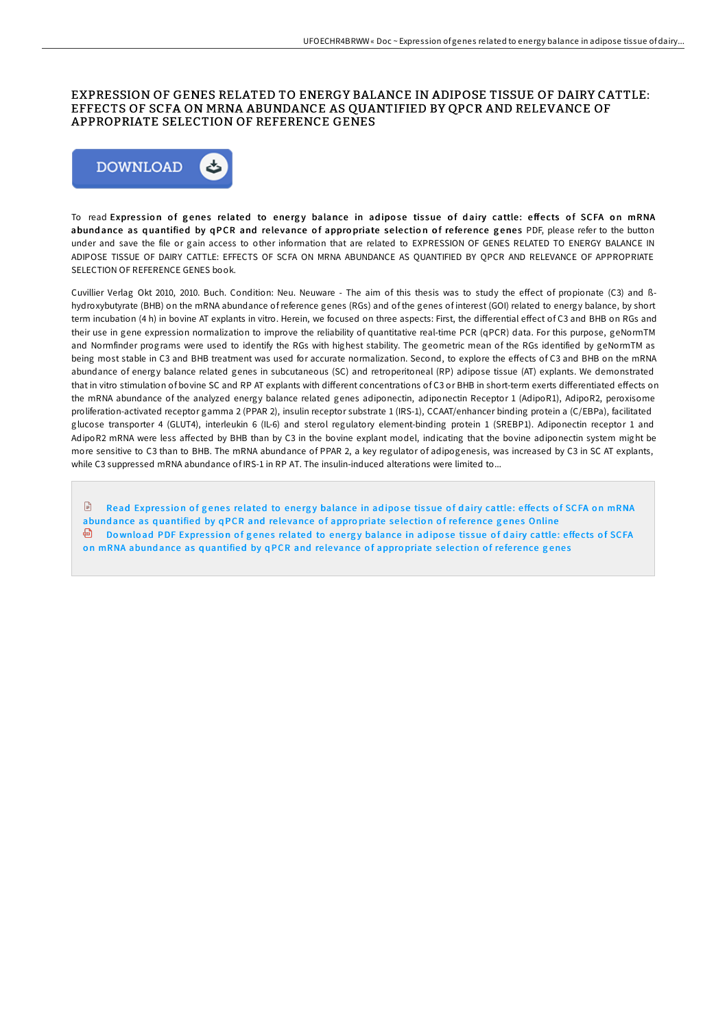## EXPRESSION OF GENES RELATED TO ENERGY BALANCE IN ADIPOSE TISSUE OF DAIRY CATTLE: EFFECTS OF SCFA ON MRNA ABUNDANCE AS QUANTIFIED BY QPCR AND RELEVANCE OF APPROPRIATE SELECTION OF REFERENCE GENES



To read Expression of genes related to energy balance in adipose tissue of dairy cattle: effects of SCFA on mRNA abund ance as quantified by qPCR and relevance of appropriate selection of reference genes PDF, please refer to the button under and save the file or gain access to other information that are related to EXPRESSION OF GENES RELATED TO ENERGY BALANCE IN ADIPOSE TISSUE OF DAIRY CATTLE: EFFECTS OF SCFA ON MRNA ABUNDANCE AS QUANTIFIED BY QPCR AND RELEVANCE OF APPROPRIATE SELECTION OF REFERENCE GENES book.

Cuvillier Verlag Okt 2010, 2010. Buch. Condition: Neu. Neuware - The aim of this thesis was to study the effect of propionate (C3) and ßhydroxybutyrate (BHB) on the mRNA abundance of reference genes (RGs) and of the genes of interest (GOI) related to energy balance, by short term incubation (4 h) in bovine AT explants in vitro. Herein, we focused on three aspects: First, the differential effect of C3 and BHB on RGs and their use in gene expression normalization to improve the reliability of quantitative real-time PCR (qPCR) data. For this purpose, geNormTM and Normfinder programs were used to identify the RGs with highest stability. The geometric mean of the RGs identified by geNormTM as being most stable in C3 and BHB treatment was used for accurate normalization. Second, to explore the effects of C3 and BHB on the mRNA abundance of energy balance related genes in subcutaneous (SC) and retroperitoneal (RP) adipose tissue (AT) explants. We demonstrated that in vitro stimulation of bovine SC and RP AT explants with different concentrations of C3 or BHB in short-term exerts differentiated effects on the mRNA abundance of the analyzed energy balance related genes adiponectin, adiponectin Receptor 1 (AdipoR1), AdipoR2, peroxisome proliferation-activated receptor gamma 2 (PPAR 2), insulin receptor substrate 1 (IRS-1), CCAAT/enhancer binding protein a (C/EBPa), facilitated glucose transporter 4 (GLUT4), interleukin 6 (IL-6) and sterol regulatory element-binding protein 1 (SREBP1). Adiponectin receptor 1 and AdipoR2 mRNA were less affected by BHB than by C3 in the bovine explant model, indicating that the bovine adiponectin system might be more sensitive to C3 than to BHB. The mRNA abundance of PPAR 2, a key regulator of adipogenesis, was increased by C3 in SC AT explants, while C3 suppressed mRNA abundance of IRS-1 in RP AT. The insulin-induced alterations were limited to...

 $\mathbb{B}$ Read Expression of genes related to energy balance in adipose tissue of dairy cattle: effects of SCFA on mRNA abund ance as q[uantified](http://almighty24.tech/expression-of-genes-related-to-energy-balance-in.html) by qPCR and relevance of appropriate selection of reference genes Online **Download PDF Expression of genes related to energy balance in adipose tissue of dairy cattle: effects of SCFA** on mRNA abundance as q[uantified](http://almighty24.tech/expression-of-genes-related-to-energy-balance-in.html) by qPCR and relevance of appropriate selection of reference genes